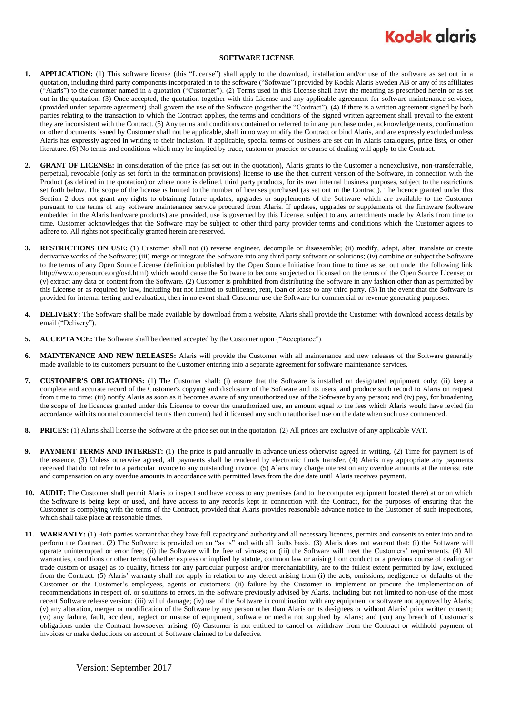## **Kodak glaris**

## **SOFTWARE LICENSE**

- **1. APPLICATION:** (1) This software license (this "License") shall apply to the download, installation and/or use of the software as set out in a quotation, including third party components incorporated in to the software ("Software") provided by Kodak Alaris Sweden AB or any of its affiliates ("Alaris") to the customer named in a quotation ("Customer"). (2) Terms used in this License shall have the meaning as prescribed herein or as set out in the quotation. (3) Once accepted, the quotation together with this License and any applicable agreement for software maintenance services, (provided under separate agreement) shall govern the use of the Software (together the "Contract"). (4) If there is a written agreement signed by both parties relating to the transaction to which the Contract applies, the terms and conditions of the signed written agreement shall prevail to the extent they are inconsistent with the Contract. (5) Any terms and conditions contained or referred to in any purchase order, acknowledgements, confirmation or other documents issued by Customer shall not be applicable, shall in no way modify the Contract or bind Alaris, and are expressly excluded unless Alaris has expressly agreed in writing to their inclusion. If applicable, special terms of business are set out in Alaris catalogues, price lists, or other literature. (6) No terms and conditions which may be implied by trade, custom or practice or course of dealing will apply to the Contract.
- **2. GRANT OF LICENSE:** In consideration of the price (as set out in the quotation), Alaris grants to the Customer a nonexclusive, non-transferrable, perpetual, revocable (only as set forth in the termination provisions) license to use the then current version of the Software, in connection with the Product (as defined in the quotation) or where none is defined, third party products, for its own internal business purposes, subject to the restrictions set forth below. The scope of the license is limited to the number of licenses purchased (as set out in the Contract). The licence granted under this Section 2 does not grant any rights to obtaining future updates, upgrades or supplements of the Software which are available to the Customer pursuant to the terms of any software maintenance service procured from Alaris. If updates, upgrades or supplements of the firmware (software embedded in the Alaris hardware products) are provided, use is governed by this License, subject to any amendments made by Alaris from time to time. Customer acknowledges that the Software may be subject to other third party provider terms and conditions which the Customer agrees to adhere to. All rights not specifically granted herein are reserved.
- **3. RESTRICTIONS ON USE:** (1) Customer shall not (i) reverse engineer, decompile or disassemble; (ii) modify, adapt, alter, translate or create derivative works of the Software; (iii) merge or integrate the Software into any third party software or solutions; (iv) combine or subject the Software to the terms of any Open Source License (definition published by the Open Source Initiative from time to time as set out under the following link http://www.opensource.org/osd.html) which would cause the Software to become subjected or licensed on the terms of the Open Source License; or (v) extract any data or content from the Software. (2) Customer is prohibited from distributing the Software in any fashion other than as permitted by this License or as required by law, including but not limited to sublicense, rent, loan or lease to any third party. (3) In the event that the Software is provided for internal testing and evaluation, then in no event shall Customer use the Software for commercial or revenue generating purposes.
- **4. DELIVERY:** The Software shall be made available by download from a website, Alaris shall provide the Customer with download access details by email ("Delivery").
- **5. ACCEPTANCE:** The Software shall be deemed accepted by the Customer upon ("Acceptance").
- **6. MAINTENANCE AND NEW RELEASES:** Alaris will provide the Customer with all maintenance and new releases of the Software generally made available to its customers pursuant to the Customer entering into a separate agreement for software maintenance services.
- **7. CUSTOMER'S OBLIGATIONS:** (1) The Customer shall: (i) ensure that the Software is installed on designated equipment only; (ii) keep a complete and accurate record of the Customer's copying and disclosure of the Software and its users, and produce such record to Alaris on request from time to time; (iii) notify Alaris as soon as it becomes aware of any unauthorized use of the Software by any person; and (iv) pay, for broadening the scope of the licences granted under this Licence to cover the unauthorized use, an amount equal to the fees which Alaris would have levied (in accordance with its normal commercial terms then current) had it licensed any such unauthorised use on the date when such use commenced.
- **8. PRICES:** (1) Alaris shall license the Software at the price set out in the quotation. (2) All prices are exclusive of any applicable VAT.
- **9. PAYMENT TERMS AND INTEREST:** (1) The price is paid annually in advance unless otherwise agreed in writing. (2) Time for payment is of the essence. (3) Unless otherwise agreed, all payments shall be rendered by electronic funds transfer. (4) Alaris may appropriate any payments received that do not refer to a particular invoice to any outstanding invoice. (5) Alaris may charge interest on any overdue amounts at the interest rate and compensation on any overdue amounts in accordance with permitted laws from the due date until Alaris receives payment.
- **10. AUDIT:** The Customer shall permit Alaris to inspect and have access to any premises (and to the computer equipment located there) at or on which the Software is being kept or used, and have access to any records kept in connection with the Contract, for the purposes of ensuring that the Customer is complying with the terms of the Contract, provided that Alaris provides reasonable advance notice to the Customer of such inspections, which shall take place at reasonable times.
- **11. WARRANTY:** (1) Both parties warrant that they have full capacity and authority and all necessary licences, permits and consents to enter into and to perform the Contract. (2) The Software is provided on an "as is" and with all faults basis. (3) Alaris does not warrant that: (i) the Software will operate uninterrupted or error free; (ii) the Software will be free of viruses; or (iii) the Software will meet the Customers' requirements. (4) All warranties, conditions or other terms (whether express or implied by statute, common law or arising from conduct or a previous course of dealing or trade custom or usage) as to quality, fitness for any particular purpose and/or merchantability, are to the fullest extent permitted by law, excluded from the Contract. (5) Alaris' warranty shall not apply in relation to any defect arising from (i) the acts, omissions, negligence or defaults of the Customer or the Customer's employees, agents or customers; (ii) failure by the Customer to implement or procure the implementation of recommendations in respect of, or solutions to errors, in the Software previously advised by Alaris, including but not limited to non-use of the most recent Software release version; (iii) wilful damage; (iv) use of the Software in combination with any equipment or software not approved by Alaris; (v) any alteration, merger or modification of the Software by any person other than Alaris or its designees or without Alaris' prior written consent; (vi) any failure, fault, accident, neglect or misuse of equipment, software or media not supplied by Alaris; and (vii) any breach of Customer's obligations under the Contract howsoever arising. (6) Customer is not entitled to cancel or withdraw from the Contract or withhold payment of invoices or make deductions on account of Software claimed to be defective.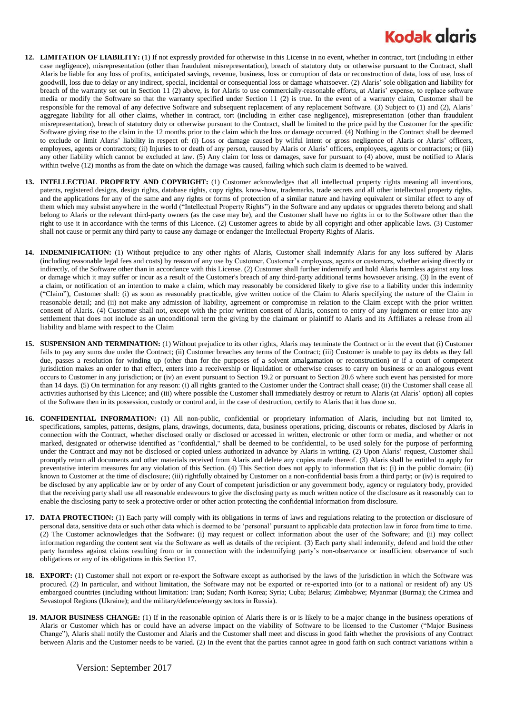## **Kodak alaris**

- **12. LIMITATION OF LIABILITY:** (1) If not expressly provided for otherwise in this License in no event, whether in contract, tort (including in either case negligence), misrepresentation (other than fraudulent misrepresentation), breach of statutory duty or otherwise pursuant to the Contract, shall Alaris be liable for any loss of profits, anticipated savings, revenue, business, loss or corruption of data or reconstruction of data, loss of use, loss of goodwill, loss due to delay or any indirect, special, incidental or consequential loss or damage whatsoever. (2) Alaris' sole obligation and liability for breach of the warranty set out in Section 11 (2) above, is for Alaris to use commercially-reasonable efforts, at Alaris' expense, to replace software media or modify the Software so that the warranty specified under Section 11 (2) is true. In the event of a warranty claim, Customer shall be responsible for the removal of any defective Software and subsequent replacement of any replacement Software. (3) Subject to (1) and (2), Alaris' aggregate liability for all other claims, whether in contract, tort (including in either case negligence), misrepresentation (other than fraudulent misrepresentation), breach of statutory duty or otherwise pursuant to the Contract, shall be limited to the price paid by the Customer for the specific Software giving rise to the claim in the 12 months prior to the claim which the loss or damage occurred. (4) Nothing in the Contract shall be deemed to exclude or limit Alaris' liability in respect of: (i) Loss or damage caused by wilful intent or gross negligence of Alaris or Alaris' officers, employees, agents or contractors; (ii) Injuries to or death of any person, caused by Alaris or Alaris' officers, employees, agents or contractors; or (iii) any other liability which cannot be excluded at law. (5) Any claim for loss or damages, save for pursuant to (4) above, must be notified to Alaris within twelve (12) months as from the date on which the damage was caused, failing which such claim is deemed to be waived.
- **13. INTELLECTUAL PROPERTY AND COPYRIGHT:** (1) Customer acknowledges that all intellectual property rights meaning all inventions, patents, registered designs, design rights, database rights, copy rights, know-how, trademarks, trade secrets and all other intellectual property rights, and the applications for any of the same and any rights or forms of protection of a similar nature and having equivalent or similar effect to any of them which may subsist anywhere in the world ("Intellectual Property Rights") in the Software and any updates or upgrades thereto belong and shall belong to Alaris or the relevant third-party owners (as the case may be), and the Customer shall have no rights in or to the Software other than the right to use it in accordance with the terms of this Licence. (2) Customer agrees to abide by all copyright and other applicable laws. (3) Customer shall not cause or permit any third party to cause any damage or endanger the Intellectual Property Rights of Alaris.
- **14. INDEMNIFICATION:** (1) Without prejudice to any other rights of Alaris, Customer shall indemnify Alaris for any loss suffered by Alaris (including reasonable legal fees and costs) by reason of any use by Customer, Customer's employees, agents or customers, whether arising directly or indirectly, of the Software other than in accordance with this License. (2) Customer shall further indemnify and hold Alaris harmless against any loss or damage which it may suffer or incur as a result of the Customer's breach of any third-party additional terms howsoever arising. (3) In the event of a claim, or notification of an intention to make a claim, which may reasonably be considered likely to give rise to a liability under this indemnity ("Claim"), Customer shall: (i) as soon as reasonably practicable, give written notice of the Claim to Alaris specifying the nature of the Claim in reasonable detail; and (ii) not make any admission of liability, agreement or compromise in relation to the Claim except with the prior written consent of Alaris. (4) Customer shall not, except with the prior written consent of Alaris, consent to entry of any judgment or enter into any settlement that does not include as an unconditional term the giving by the claimant or plaintiff to Alaris and its Affiliates a release from all liability and blame with respect to the Claim
- **15. SUSPENSION AND TERMINATION:** (1) Without prejudice to its other rights, Alaris may terminate the Contract or in the event that (i) Customer fails to pay any sums due under the Contract; (ii) Customer breaches any terms of the Contract; (iii) Customer is unable to pay its debts as they fall due, passes a resolution for winding up (other than for the purposes of a solvent amalgamation or reconstruction) or if a court of competent jurisdiction makes an order to that effect, enters into a receivership or liquidation or otherwise ceases to carry on business or an analogous event occurs to Customer in any jurisdiction; or (iv) an event pursuant to Section 19.2 or pursuant to Section 20.6 where such event has persisted for more than 14 days. (5) On termination for any reason: (i) all rights granted to the Customer under the Contract shall cease; (ii) the Customer shall cease all activities authorised by this Licence; and (iii) where possible the Customer shall immediately destroy or return to Alaris (at Alaris' option) all copies of the Software then in its possession, custody or control and, in the case of destruction, certify to Alaris that it has done so.
- **16. CONFIDENTIAL INFORMATION:** (1) All non-public, confidential or proprietary information of Alaris, including but not limited to, specifications, samples, patterns, designs, plans, drawings, documents, data, business operations, pricing, discounts or rebates, disclosed by Alaris in connection with the Contract, whether disclosed orally or disclosed or accessed in written, electronic or other form or media, and whether or not marked, designated or otherwise identified as "confidential," shall be deemed to be confidential, to be used solely for the purpose of performing under the Contract and may not be disclosed or copied unless authorized in advance by Alaris in writing. (2) Upon Alaris' request, Customer shall promptly return all documents and other materials received from Alaris and delete any copies made thereof. (3) Alaris shall be entitled to apply for preventative interim measures for any violation of this Section. (4) This Section does not apply to information that is: (i) in the public domain; (ii) known to Customer at the time of disclosure; (iii) rightfully obtained by Customer on a non-confidential basis from a third party; or (iv) is required to be disclosed by any applicable law or by order of any Court of competent jurisdiction or any government body, agency or regulatory body, provided that the receiving party shall use all reasonable endeavours to give the disclosing party as much written notice of the disclosure as it reasonably can to enable the disclosing party to seek a protective order or other action protecting the confidential information from disclosure.
- **17. DATA PROTECTION:** (1) Each party will comply with its obligations in terms of laws and regulations relating to the protection or disclosure of personal data, sensitive data or such other data which is deemed to be 'personal' pursuant to applicable data protection law in force from time to time. (2) The Customer acknowledges that the Software: (i) may request or collect information about the user of the Software; and (ii) may collect information regarding the content sent via the Software as well as details of the recipient. (3) Each party shall indemnify, defend and hold the other party harmless against claims resulting from or in connection with the indemnifying party's non-observance or insufficient observance of such obligations or any of its obligations in this Section 17.
- **18. EXPORT:** (1) Customer shall not export or re-export the Software except as authorised by the laws of the jurisdiction in which the Software was procured. (2) In particular, and without limitation, the Software may not be exported or re-exported into (or to a national or resident of) any US embargoed countries (including without limitation: Iran; Sudan; North Korea; Syria; Cuba; Belarus; Zimbabwe; Myanmar (Burma); the Crimea and Sevastopol Regions (Ukraine); and the military/defence/energy sectors in Russia).
- **19. MAJOR BUSINESS CHANGE:** (1) If in the reasonable opinion of Alaris there is or is likely to be a major change in the business operations of Alaris or Customer which has or could have an adverse impact on the viability of Software to be licensed to the Customer ("Major Business Change"), Alaris shall notify the Customer and Alaris and the Customer shall meet and discuss in good faith whether the provisions of any Contract between Alaris and the Customer needs to be varied. (2) In the event that the parties cannot agree in good faith on such contract variations within a